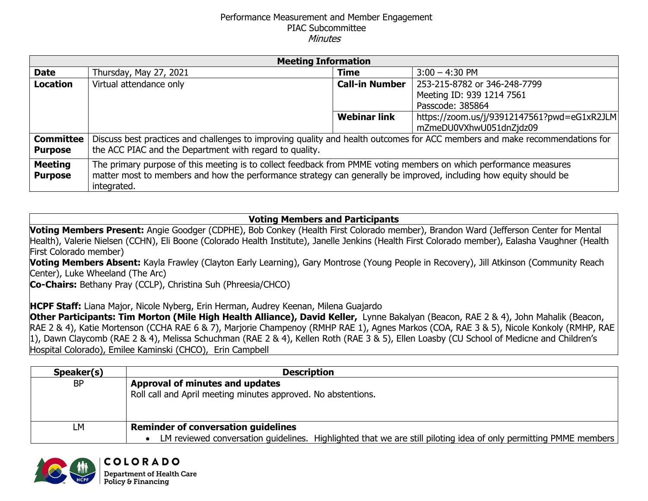## Performance Measurement and Member Engagement PIAC Subcommittee **Minutes**

| <b>Meeting Information</b> |                                                                                                                             |                       |                                             |  |
|----------------------------|-----------------------------------------------------------------------------------------------------------------------------|-----------------------|---------------------------------------------|--|
| <b>Date</b>                | Thursday, May 27, 2021                                                                                                      | <b>Time</b>           | $3:00 - 4:30$ PM                            |  |
| <b>Location</b>            | Virtual attendance only                                                                                                     | <b>Call-in Number</b> | 253-215-8782 or 346-248-7799                |  |
|                            |                                                                                                                             |                       | Meeting ID: 939 1214 7561                   |  |
|                            |                                                                                                                             |                       | Passcode: 385864                            |  |
|                            |                                                                                                                             | <b>Webinar link</b>   | https://zoom.us/j/93912147561?pwd=eG1xR2JLM |  |
|                            |                                                                                                                             |                       | mZmeDU0VXhwU051dnZjdz09                     |  |
| <b>Committee</b>           | Discuss best practices and challenges to improving quality and health outcomes for ACC members and make recommendations for |                       |                                             |  |
| <b>Purpose</b>             | the ACC PIAC and the Department with regard to quality.                                                                     |                       |                                             |  |
| <b>Meeting</b>             | The primary purpose of this meeting is to collect feedback from PMME voting members on which performance measures           |                       |                                             |  |
| <b>Purpose</b>             | matter most to members and how the performance strategy can generally be improved, including how equity should be           |                       |                                             |  |
|                            | integrated.                                                                                                                 |                       |                                             |  |

**Voting Members and Participants**

**Voting Members Present:** Angie Goodger (CDPHE), Bob Conkey (Health First Colorado member), Brandon Ward (Jefferson Center for Mental Health), Valerie Nielsen (CCHN), Eli Boone (Colorado Health Institute), Janelle Jenkins (Health First Colorado member), Ealasha Vaughner (Health First Colorado member)

**Voting Members Absent:** Kayla Frawley (Clayton Early Learning), Gary Montrose (Young People in Recovery), Jill Atkinson (Community Reach Center), Luke Wheeland (The Arc)

**Co-Chairs:** Bethany Pray (CCLP), Christina Suh (Phreesia/CHCO)

COLORADO **Department of Health Care** Policy & Financing

**HCPF Staff:** Liana Major, Nicole Nyberg, Erin Herman, Audrey Keenan, Milena Guajardo

**Other Participants: Tim Morton (Mile High Health Alliance), David Keller,** Lynne Bakalyan (Beacon, RAE 2 & 4), John Mahalik (Beacon, RAE 2 & 4), Katie Mortenson (CCHA RAE 6 & 7), Marjorie Champenoy (RMHP RAE 1), Agnes Markos (COA, RAE 3 & 5), Nicole Konkoly (RMHP, RAE 1), Dawn Claycomb (RAE 2 & 4), Melissa Schuchman (RAE 2 & 4), Kellen Roth (RAE 3 & 5), Ellen Loasby (CU School of Medicne and Children's Hospital Colorado), Emilee Kaminski (CHCO), Erin Campbell

| Speaker(s) | <b>Description</b>                                                                                               |  |
|------------|------------------------------------------------------------------------------------------------------------------|--|
| <b>BP</b>  | Approval of minutes and updates                                                                                  |  |
|            | Roll call and April meeting minutes approved. No abstentions.                                                    |  |
|            |                                                                                                                  |  |
|            |                                                                                                                  |  |
| LМ         | <b>Reminder of conversation guidelines</b>                                                                       |  |
|            | LM reviewed conversation guidelines. Highlighted that we are still piloting idea of only permitting PMME members |  |

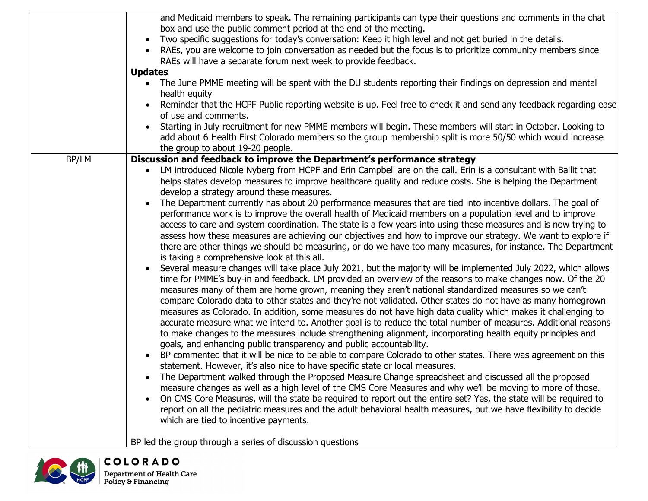|       | and Medicaid members to speak. The remaining participants can type their questions and comments in the chat<br>box and use the public comment period at the end of the meeting.<br>Two specific suggestions for today's conversation: Keep it high level and not get buried in the details.<br>RAEs, you are welcome to join conversation as needed but the focus is to prioritize community members since<br>RAEs will have a separate forum next week to provide feedback.<br><b>Updates</b><br>The June PMME meeting will be spent with the DU students reporting their findings on depression and mental<br>health equity<br>Reminder that the HCPF Public reporting website is up. Feel free to check it and send any feedback regarding ease<br>of use and comments.<br>Starting in July recruitment for new PMME members will begin. These members will start in October. Looking to<br>add about 6 Health First Colorado members so the group membership split is more 50/50 which would increase                                                                                                                                                                                                                                                                                                                                                                                                                                                                                                                                                                                                                                                                                                                                                                                                                                                                                                                                                                                                                                                                                                                                                                                                                                                                                                                                                                                                                                                                                                                                                                                                            |
|-------|----------------------------------------------------------------------------------------------------------------------------------------------------------------------------------------------------------------------------------------------------------------------------------------------------------------------------------------------------------------------------------------------------------------------------------------------------------------------------------------------------------------------------------------------------------------------------------------------------------------------------------------------------------------------------------------------------------------------------------------------------------------------------------------------------------------------------------------------------------------------------------------------------------------------------------------------------------------------------------------------------------------------------------------------------------------------------------------------------------------------------------------------------------------------------------------------------------------------------------------------------------------------------------------------------------------------------------------------------------------------------------------------------------------------------------------------------------------------------------------------------------------------------------------------------------------------------------------------------------------------------------------------------------------------------------------------------------------------------------------------------------------------------------------------------------------------------------------------------------------------------------------------------------------------------------------------------------------------------------------------------------------------------------------------------------------------------------------------------------------------------------------------------------------------------------------------------------------------------------------------------------------------------------------------------------------------------------------------------------------------------------------------------------------------------------------------------------------------------------------------------------------------------------------------------------------------------------------------------------------------|
| BP/LM | the group to about 19-20 people.<br>Discussion and feedback to improve the Department's performance strategy<br>LM introduced Nicole Nyberg from HCPF and Erin Campbell are on the call. Erin is a consultant with Bailit that<br>helps states develop measures to improve healthcare quality and reduce costs. She is helping the Department<br>develop a strategy around these measures.<br>The Department currently has about 20 performance measures that are tied into incentive dollars. The goal of<br>performance work is to improve the overall health of Medicaid members on a population level and to improve<br>access to care and system coordination. The state is a few years into using these measures and is now trying to<br>assess how these measures are achieving our objectives and how to improve our strategy. We want to explore if<br>there are other things we should be measuring, or do we have too many measures, for instance. The Department<br>is taking a comprehensive look at this all.<br>Several measure changes will take place July 2021, but the majority will be implemented July 2022, which allows<br>time for PMME's buy-in and feedback. LM provided an overview of the reasons to make changes now. Of the 20<br>measures many of them are home grown, meaning they aren't national standardized measures so we can't<br>compare Colorado data to other states and they're not validated. Other states do not have as many homegrown<br>measures as Colorado. In addition, some measures do not have high data quality which makes it challenging to<br>accurate measure what we intend to. Another goal is to reduce the total number of measures. Additional reasons<br>to make changes to the measures include strengthening alignment, incorporating health equity principles and<br>goals, and enhancing public transparency and public accountability.<br>BP commented that it will be nice to be able to compare Colorado to other states. There was agreement on this<br>statement. However, it's also nice to have specific state or local measures.<br>The Department walked through the Proposed Measure Change spreadsheet and discussed all the proposed<br>measure changes as well as a high level of the CMS Core Measures and why we'll be moving to more of those.<br>On CMS Core Measures, will the state be required to report out the entire set? Yes, the state will be required to<br>report on all the pediatric measures and the adult behavioral health measures, but we have flexibility to decide<br>which are tied to incentive payments. |
|       | BP led the group through a series of discussion questions                                                                                                                                                                                                                                                                                                                                                                                                                                                                                                                                                                                                                                                                                                                                                                                                                                                                                                                                                                                                                                                                                                                                                                                                                                                                                                                                                                                                                                                                                                                                                                                                                                                                                                                                                                                                                                                                                                                                                                                                                                                                                                                                                                                                                                                                                                                                                                                                                                                                                                                                                            |

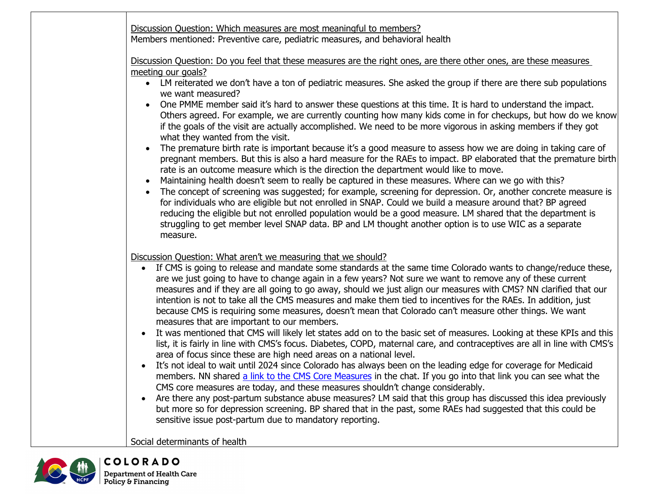|                        | Discussion Question: Which measures are most meaningful to members?<br>Members mentioned: Preventive care, pediatric measures, and behavioral health                                                                                                                                                                                                                                                                                                                                                                                                                                                                                                                                                                                                                                                                                                                                                                                                                                                                                                                                                                                                                                                                                                                                                                                                                                                                                                                                                                                                                                                                                                 |
|------------------------|------------------------------------------------------------------------------------------------------------------------------------------------------------------------------------------------------------------------------------------------------------------------------------------------------------------------------------------------------------------------------------------------------------------------------------------------------------------------------------------------------------------------------------------------------------------------------------------------------------------------------------------------------------------------------------------------------------------------------------------------------------------------------------------------------------------------------------------------------------------------------------------------------------------------------------------------------------------------------------------------------------------------------------------------------------------------------------------------------------------------------------------------------------------------------------------------------------------------------------------------------------------------------------------------------------------------------------------------------------------------------------------------------------------------------------------------------------------------------------------------------------------------------------------------------------------------------------------------------------------------------------------------------|
|                        | Discussion Question: Do you feel that these measures are the right ones, are there other ones, are these measures<br>meeting our goals?<br>• LM reiterated we don't have a ton of pediatric measures. She asked the group if there are there sub populations<br>we want measured?<br>One PMME member said it's hard to answer these questions at this time. It is hard to understand the impact.<br>Others agreed. For example, we are currently counting how many kids come in for checkups, but how do we know<br>if the goals of the visit are actually accomplished. We need to be more vigorous in asking members if they got<br>what they wanted from the visit.<br>The premature birth rate is important because it's a good measure to assess how we are doing in taking care of<br>pregnant members. But this is also a hard measure for the RAEs to impact. BP elaborated that the premature birth<br>rate is an outcome measure which is the direction the department would like to move.<br>Maintaining health doesn't seem to really be captured in these measures. Where can we go with this?<br>The concept of screening was suggested; for example, screening for depression. Or, another concrete measure is<br>for individuals who are eligible but not enrolled in SNAP. Could we build a measure around that? BP agreed<br>reducing the eligible but not enrolled population would be a good measure. LM shared that the department is<br>struggling to get member level SNAP data. BP and LM thought another option is to use WIC as a separate<br>measure.                                                                     |
| $\bullet$<br>$\bullet$ | Discussion Question: What aren't we measuring that we should?<br>If CMS is going to release and mandate some standards at the same time Colorado wants to change/reduce these,<br>$\bullet$<br>are we just going to have to change again in a few years? Not sure we want to remove any of these current<br>measures and if they are all going to go away, should we just align our measures with CMS? NN clarified that our<br>intention is not to take all the CMS measures and make them tied to incentives for the RAEs. In addition, just<br>because CMS is requiring some measures, doesn't mean that Colorado can't measure other things. We want<br>measures that are important to our members.<br>It was mentioned that CMS will likely let states add on to the basic set of measures. Looking at these KPIs and this<br>list, it is fairly in line with CMS's focus. Diabetes, COPD, maternal care, and contraceptives are all in line with CMS's<br>area of focus since these are high need areas on a national level.<br>It's not ideal to wait until 2024 since Colorado has always been on the leading edge for coverage for Medicaid<br>members. NN shared a link to the CMS Core Measures in the chat. If you go into that link you can see what the<br>CMS core measures are today, and these measures shouldn't change considerably.<br>Are there any post-partum substance abuse measures? LM said that this group has discussed this idea previously<br>but more so for depression screening. BP shared that in the past, some RAEs had suggested that this could be<br>sensitive issue post-partum due to mandatory reporting. |
|                        | Social determinants of health                                                                                                                                                                                                                                                                                                                                                                                                                                                                                                                                                                                                                                                                                                                                                                                                                                                                                                                                                                                                                                                                                                                                                                                                                                                                                                                                                                                                                                                                                                                                                                                                                        |

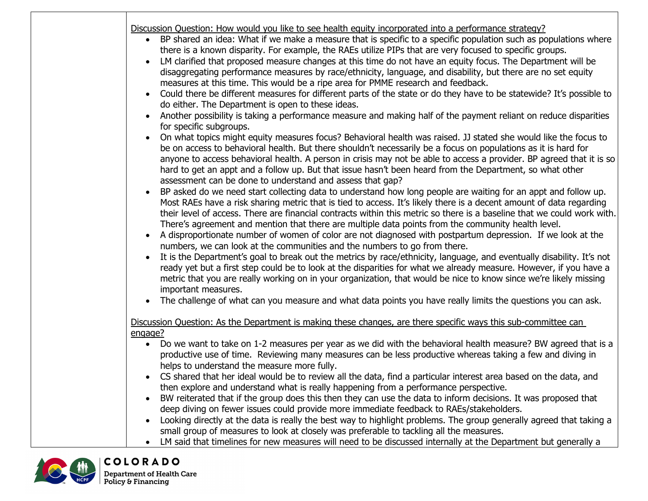| $\bullet$<br>$\bullet$ | Discussion Question: How would you like to see health equity incorporated into a performance strategy?<br>BP shared an idea: What if we make a measure that is specific to a specific population such as populations where<br>there is a known disparity. For example, the RAEs utilize PIPs that are very focused to specific groups.<br>LM clarified that proposed measure changes at this time do not have an equity focus. The Department will be<br>disaggregating performance measures by race/ethnicity, language, and disability, but there are no set equity<br>measures at this time. This would be a ripe area for PMME research and feedback.<br>Could there be different measures for different parts of the state or do they have to be statewide? It's possible to<br>do either. The Department is open to these ideas.<br>Another possibility is taking a performance measure and making half of the payment reliant on reduce disparities<br>for specific subgroups.<br>On what topics might equity measures focus? Behavioral health was raised. JJ stated she would like the focus to<br>be on access to behavioral health. But there shouldn't necessarily be a focus on populations as it is hard for<br>anyone to access behavioral health. A person in crisis may not be able to access a provider. BP agreed that it is so<br>hard to get an appt and a follow up. But that issue hasn't been heard from the Department, so what other<br>assessment can be done to understand and assess that gap?<br>BP asked do we need start collecting data to understand how long people are waiting for an appt and follow up.<br>Most RAEs have a risk sharing metric that is tied to access. It's likely there is a decent amount of data regarding<br>their level of access. There are financial contracts within this metric so there is a baseline that we could work with.<br>There's agreement and mention that there are multiple data points from the community health level.<br>A disproportionate number of women of color are not diagnosed with postpartum depression. If we look at the<br>numbers, we can look at the communities and the numbers to go from there.<br>It is the Department's goal to break out the metrics by race/ethnicity, language, and eventually disability. It's not<br>ready yet but a first step could be to look at the disparities for what we already measure. However, if you have a<br>metric that you are really working on in your organization, that would be nice to know since we're likely missing<br>important measures. |
|------------------------|----------------------------------------------------------------------------------------------------------------------------------------------------------------------------------------------------------------------------------------------------------------------------------------------------------------------------------------------------------------------------------------------------------------------------------------------------------------------------------------------------------------------------------------------------------------------------------------------------------------------------------------------------------------------------------------------------------------------------------------------------------------------------------------------------------------------------------------------------------------------------------------------------------------------------------------------------------------------------------------------------------------------------------------------------------------------------------------------------------------------------------------------------------------------------------------------------------------------------------------------------------------------------------------------------------------------------------------------------------------------------------------------------------------------------------------------------------------------------------------------------------------------------------------------------------------------------------------------------------------------------------------------------------------------------------------------------------------------------------------------------------------------------------------------------------------------------------------------------------------------------------------------------------------------------------------------------------------------------------------------------------------------------------------------------------------------------------------------------------------------------------------------------------------------------------------------------------------------------------------------------------------------------------------------------------------------------------------------------------------------------------------------------------------------------------------------------------------------------------------------------------------------------------------------------------------------------------------------|
|                        | The challenge of what can you measure and what data points you have really limits the questions you can ask.                                                                                                                                                                                                                                                                                                                                                                                                                                                                                                                                                                                                                                                                                                                                                                                                                                                                                                                                                                                                                                                                                                                                                                                                                                                                                                                                                                                                                                                                                                                                                                                                                                                                                                                                                                                                                                                                                                                                                                                                                                                                                                                                                                                                                                                                                                                                                                                                                                                                                 |
|                        | Discussion Question: As the Department is making these changes, are there specific ways this sub-committee can                                                                                                                                                                                                                                                                                                                                                                                                                                                                                                                                                                                                                                                                                                                                                                                                                                                                                                                                                                                                                                                                                                                                                                                                                                                                                                                                                                                                                                                                                                                                                                                                                                                                                                                                                                                                                                                                                                                                                                                                                                                                                                                                                                                                                                                                                                                                                                                                                                                                               |
| engage?                | • Do we want to take on 1-2 measures per year as we did with the behavioral health measure? BW agreed that is a<br>productive use of time. Reviewing many measures can be less productive whereas taking a few and diving in<br>helps to understand the measure more fully.                                                                                                                                                                                                                                                                                                                                                                                                                                                                                                                                                                                                                                                                                                                                                                                                                                                                                                                                                                                                                                                                                                                                                                                                                                                                                                                                                                                                                                                                                                                                                                                                                                                                                                                                                                                                                                                                                                                                                                                                                                                                                                                                                                                                                                                                                                                  |
|                        | • CS shared that her ideal would be to review all the data, find a particular interest area based on the data, and<br>then explore and understand what is really happening from a performance perspective.                                                                                                                                                                                                                                                                                                                                                                                                                                                                                                                                                                                                                                                                                                                                                                                                                                                                                                                                                                                                                                                                                                                                                                                                                                                                                                                                                                                                                                                                                                                                                                                                                                                                                                                                                                                                                                                                                                                                                                                                                                                                                                                                                                                                                                                                                                                                                                                   |
|                        | BW reiterated that if the group does this then they can use the data to inform decisions. It was proposed that<br>deep diving on fewer issues could provide more immediate feedback to RAEs/stakeholders.                                                                                                                                                                                                                                                                                                                                                                                                                                                                                                                                                                                                                                                                                                                                                                                                                                                                                                                                                                                                                                                                                                                                                                                                                                                                                                                                                                                                                                                                                                                                                                                                                                                                                                                                                                                                                                                                                                                                                                                                                                                                                                                                                                                                                                                                                                                                                                                    |
|                        | Looking directly at the data is really the best way to highlight problems. The group generally agreed that taking a<br>small group of measures to look at closely was preferable to tackling all the measures.                                                                                                                                                                                                                                                                                                                                                                                                                                                                                                                                                                                                                                                                                                                                                                                                                                                                                                                                                                                                                                                                                                                                                                                                                                                                                                                                                                                                                                                                                                                                                                                                                                                                                                                                                                                                                                                                                                                                                                                                                                                                                                                                                                                                                                                                                                                                                                               |
|                        | LM said that timelines for new measures will need to be discussed internally at the Department but generally a                                                                                                                                                                                                                                                                                                                                                                                                                                                                                                                                                                                                                                                                                                                                                                                                                                                                                                                                                                                                                                                                                                                                                                                                                                                                                                                                                                                                                                                                                                                                                                                                                                                                                                                                                                                                                                                                                                                                                                                                                                                                                                                                                                                                                                                                                                                                                                                                                                                                               |